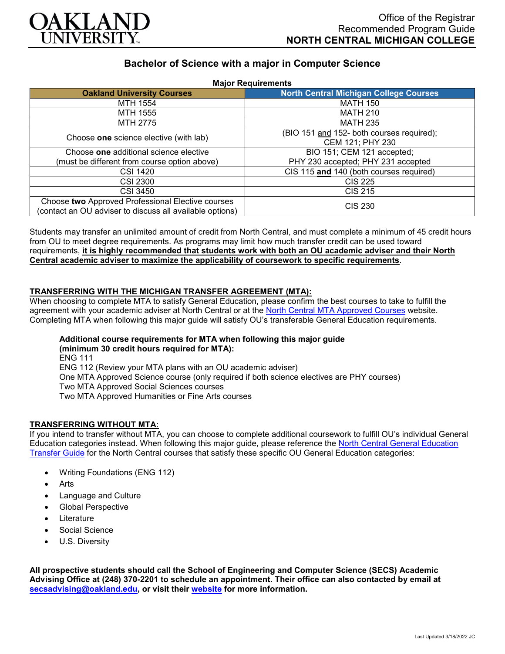

# **Bachelor of Science with a major in Computer Science**

| <b>Major Requirements</b>                                                                                     |                                               |
|---------------------------------------------------------------------------------------------------------------|-----------------------------------------------|
| <b>Oakland University Courses</b>                                                                             | <b>North Central Michigan College Courses</b> |
| MTH 1554                                                                                                      | <b>MATH 150</b>                               |
| MTH 1555                                                                                                      | <b>MATH 210</b>                               |
| MTH 2775                                                                                                      | <b>MATH 235</b>                               |
| Choose one science elective (with lab)                                                                        | (BIO 151 and 152- both courses required);     |
|                                                                                                               | CEM 121; PHY 230                              |
| Choose one additional science elective                                                                        | BIO 151; CEM 121 accepted;                    |
| (must be different from course option above)                                                                  | PHY 230 accepted; PHY 231 accepted            |
| <b>CSI 1420</b>                                                                                               | CIS 115 and 140 (both courses required)       |
| <b>CSI 2300</b>                                                                                               | <b>CIS 225</b>                                |
| <b>CSI 3450</b>                                                                                               | <b>CIS 215</b>                                |
| Choose two Approved Professional Elective courses<br>(contact an OU adviser to discuss all available options) | <b>CIS 230</b>                                |

Students may transfer an unlimited amount of credit from North Central, and must complete a minimum of 45 credit hours from OU to meet degree requirements. As programs may limit how much transfer credit can be used toward requirements, **it is highly recommended that students work with both an OU academic adviser and their North Central academic adviser to maximize the applicability of coursework to specific requirements**.

### **TRANSFERRING WITH THE MICHIGAN TRANSFER AGREEMENT (MTA):**

When choosing to complete MTA to satisfy General Education, please confirm the best courses to take to fulfill the agreement with your academic adviser at North Central or at the [North Central MTA Approved Courses](https://www.ncmich.edu/admissions/transfer-information/michigan-transfer-agreement-mta.html) website. Completing MTA when following this major guide will satisfy OU's transferable General Education requirements.

#### **Additional course requirements for MTA when following this major guide (minimum 30 credit hours required for MTA):**

ENG 111 ENG 112 (Review your MTA plans with an OU academic adviser) One MTA Approved Science course (only required if both science electives are PHY courses) Two MTA Approved Social Sciences courses Two MTA Approved Humanities or Fine Arts courses

### **TRANSFERRING WITHOUT MTA:**

If you intend to transfer without MTA, you can choose to complete additional coursework to fulfill OU's individual General Education categories instead. When following this major guide, please reference the [North Central General Education](https://www.oakland.edu/Assets/Oakland/program-guides/north-central-michigan-college/university-general-education-requirements/North%20Central%20Michigan%20Gen%20Ed.pdf)  [Transfer Guide](https://www.oakland.edu/Assets/Oakland/program-guides/north-central-michigan-college/university-general-education-requirements/North%20Central%20Michigan%20Gen%20Ed.pdf) for the North Central courses that satisfy these specific OU General Education categories:

- Writing Foundations (ENG 112)
- **Arts**
- Language and Culture
- Global Perspective
- **Literature**
- Social Science
- U.S. Diversity

**All prospective students should call the School of Engineering and Computer Science (SECS) Academic Advising Office at (248) 370-2201 to schedule an appointment. Their office can also contacted by email at [secsadvising@oakland.edu,](mailto:secsadvising@oakland.edu) or visit their [website](https://wwwp.oakland.edu/secs/advising/) for more information.**